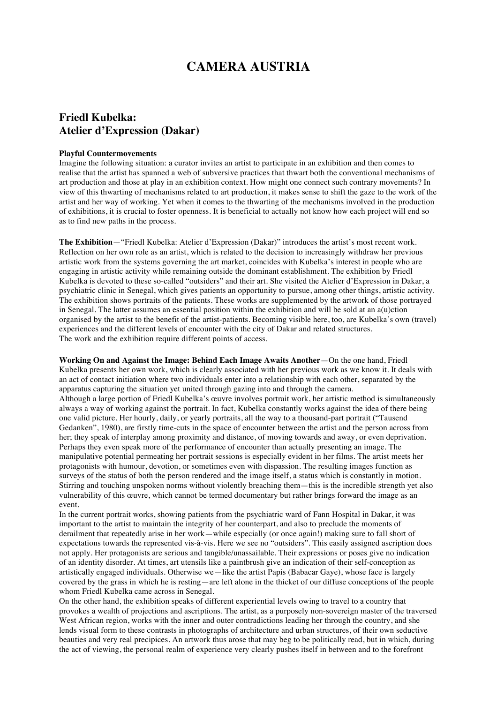## **CAMERA AUSTRIA**

## **Friedl Kubelka: Atelier d'Expression (Dakar)**

## **Playful Countermovements**

Imagine the following situation: a curator invites an artist to participate in an exhibition and then comes to realise that the artist has spanned a web of subversive practices that thwart both the conventional mechanisms of art production and those at play in an exhibition context. How might one connect such contrary movements? In view of this thwarting of mechanisms related to art production, it makes sense to shift the gaze to the work of the artist and her way of working. Yet when it comes to the thwarting of the mechanisms involved in the production of exhibitions, it is crucial to foster openness. It is beneficial to actually not know how each project will end so as to find new paths in the process.

**The Exhibition**—"Friedl Kubelka: Atelier d'Expression (Dakar)" introduces the artist's most recent work. Reflection on her own role as an artist, which is related to the decision to increasingly withdraw her previous artistic work from the systems governing the art market, coincides with Kubelka's interest in people who are engaging in artistic activity while remaining outside the dominant establishment. The exhibition by Friedl Kubelka is devoted to these so-called "outsiders" and their art. She visited the Atelier d'Expression in Dakar, a psychiatric clinic in Senegal, which gives patients an opportunity to pursue, among other things, artistic activity. The exhibition shows portraits of the patients. These works are supplemented by the artwork of those portrayed in Senegal. The latter assumes an essential position within the exhibition and will be sold at an a(u)ction organised by the artist to the benefit of the artist-patients. Becoming visible here, too, are Kubelka's own (travel) experiences and the different levels of encounter with the city of Dakar and related structures. The work and the exhibition require different points of access.

**Working On and Against the Image: Behind Each Image Awaits Another**—On the one hand, Friedl Kubelka presents her own work, which is clearly associated with her previous work as we know it. It deals with an act of contact initiation where two individuals enter into a relationship with each other, separated by the apparatus capturing the situation yet united through gazing into and through the camera. Although a large portion of Friedl Kubelka's œuvre involves portrait work, her artistic method is simultaneously always a way of working against the portrait. In fact, Kubelka constantly works against the idea of there being one valid picture. Her hourly, daily, or yearly portraits, all the way to a thousand-part portrait ("Tausend Gedanken", 1980), are firstly time-cuts in the space of encounter between the artist and the person across from her; they speak of interplay among proximity and distance, of moving towards and away, or even deprivation. Perhaps they even speak more of the performance of encounter than actually presenting an image. The manipulative potential permeating her portrait sessions is especially evident in her films. The artist meets her protagonists with humour, devotion, or sometimes even with dispassion. The resulting images function as surveys of the status of both the person rendered and the image itself, a status which is constantly in motion. Stirring and touching unspoken norms without violently breaching them—this is the incredible strength yet also vulnerability of this œuvre, which cannot be termed documentary but rather brings forward the image as an event.

In the current portrait works, showing patients from the psychiatric ward of Fann Hospital in Dakar, it was important to the artist to maintain the integrity of her counterpart, and also to preclude the moments of derailment that repeatedly arise in her work—while especially (or once again!) making sure to fall short of expectations towards the represented vis-à-vis. Here we see no "outsiders". This easily assigned ascription does not apply. Her protagonists are serious and tangible/unassailable. Their expressions or poses give no indication of an identity disorder. At times, art utensils like a paintbrush give an indication of their self-conception as artistically engaged individuals. Otherwise we—like the artist Papis (Babacar Gaye), whose face is largely covered by the grass in which he is resting—are left alone in the thicket of our diffuse conceptions of the people whom Friedl Kubelka came across in Senegal.

On the other hand, the exhibition speaks of different experiential levels owing to travel to a country that provokes a wealth of projections and ascriptions. The artist, as a purposely non-sovereign master of the traversed West African region, works with the inner and outer contradictions leading her through the country, and she lends visual form to these contrasts in photographs of architecture and urban structures, of their own seductive beauties and very real precipices. An artwork thus arose that may beg to be politically read, but in which, during the act of viewing, the personal realm of experience very clearly pushes itself in between and to the forefront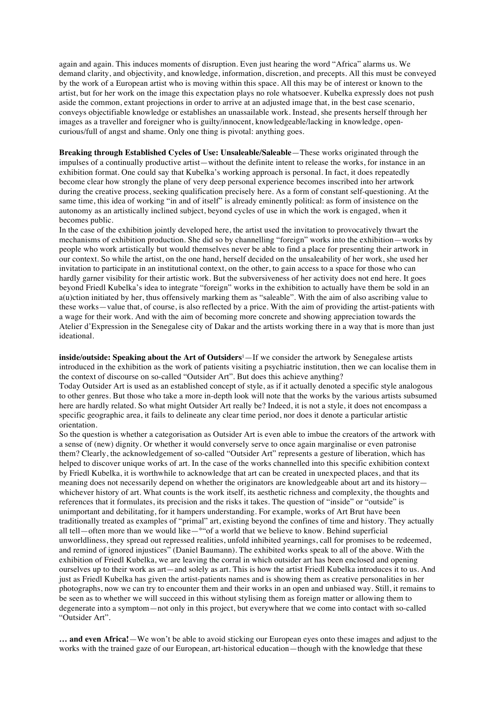again and again. This induces moments of disruption. Even just hearing the word "Africa" alarms us. We demand clarity, and objectivity, and knowledge, information, discretion, and precepts. All this must be conveyed by the work of a European artist who is moving within this space. All this may be of interest or known to the artist, but for her work on the image this expectation plays no role whatsoever. Kubelka expressly does not push aside the common, extant projections in order to arrive at an adjusted image that, in the best case scenario, conveys objectifiable knowledge or establishes an unassailable work. Instead, she presents herself through her images as a traveller and foreigner who is guilty/innocent, knowledgeable/lacking in knowledge, opencurious/full of angst and shame. Only one thing is pivotal: anything goes.

**Breaking through Established Cycles of Use: Unsaleable/Saleable**—These works originated through the impulses of a continually productive artist—without the definite intent to release the works, for instance in an exhibition format. One could say that Kubelka's working approach is personal. In fact, it does repeatedly become clear how strongly the plane of very deep personal experience becomes inscribed into her artwork during the creative process, seeking qualification precisely here. As a form of constant self-questioning. At the same time, this idea of working "in and of itself" is already eminently political: as form of insistence on the autonomy as an artistically inclined subject, beyond cycles of use in which the work is engaged, when it becomes public.

In the case of the exhibition jointly developed here, the artist used the invitation to provocatively thwart the mechanisms of exhibition production. She did so by channelling "foreign" works into the exhibition—works by people who work artistically but would themselves never be able to find a place for presenting their artwork in our context. So while the artist, on the one hand, herself decided on the unsaleability of her work, she used her invitation to participate in an institutional context, on the other, to gain access to a space for those who can hardly garner visibility for their artistic work. But the subversiveness of her activity does not end here. It goes beyond Friedl Kubelka's idea to integrate "foreign" works in the exhibition to actually have them be sold in an a(u)ction initiated by her, thus offensively marking them as "saleable". With the aim of also ascribing value to these works—value that, of course, is also reflected by a price. With the aim of providing the artist-patients with a wage for their work. And with the aim of becoming more concrete and showing appreciation towards the Atelier d'Expression in the Senegalese city of Dakar and the artists working there in a way that is more than just ideational.

**inside/outside: Speaking about the Art of Outsiders<sup>1</sup>—If we consider the artwork by Senegalese artists** introduced in the exhibition as the work of patients visiting a psychiatric institution, then we can localise them in the context of discourse on so-called "Outsider Art". But does this achieve anything?

Today Outsider Art is used as an established concept of style, as if it actually denoted a specific style analogous to other genres. But those who take a more in-depth look will note that the works by the various artists subsumed here are hardly related. So what might Outsider Art really be? Indeed, it is not a style, it does not encompass a specific geographic area, it fails to delineate any clear time period, nor does it denote a particular artistic orientation.

So the question is whether a categorisation as Outsider Art is even able to imbue the creators of the artwork with a sense of (new) dignity. Or whether it would conversely serve to once again marginalise or even patronise them? Clearly, the acknowledgement of so-called "Outsider Art" represents a gesture of liberation, which has helped to discover unique works of art. In the case of the works channelled into this specific exhibition context by Friedl Kubelka, it is worthwhile to acknowledge that art can be created in unexpected places, and that its meaning does not necessarily depend on whether the originators are knowledgeable about art and its history whichever history of art. What counts is the work itself, its aesthetic richness and complexity, the thoughts and references that it formulates, its precision and the risks it takes. The question of "inside" or "outside" is unimportant and debilitating, for it hampers understanding. For example, works of Art Brut have been traditionally treated as examples of "primal" art, existing beyond the confines of time and history. They actually all tell—often more than we would like— $^{\circ\circ}$  of a world that we believe to know. Behind superficial unworldliness, they spread out repressed realities, unfold inhibited yearnings, call for promises to be redeemed, and remind of ignored injustices" (Daniel Baumann). The exhibited works speak to all of the above. With the exhibition of Friedl Kubelka, we are leaving the corral in which outsider art has been enclosed and opening ourselves up to their work as art—and solely as art. This is how the artist Friedl Kubelka introduces it to us. And just as Friedl Kubelka has given the artist-patients names and is showing them as creative personalities in her photographs, now we can try to encounter them and their works in an open and unbiased way. Still, it remains to be seen as to whether we will succeed in this without stylising them as foreign matter or allowing them to degenerate into a symptom—not only in this project, but everywhere that we come into contact with so-called "Outsider Art".

**… and even Africa!**—We won't be able to avoid sticking our European eyes onto these images and adjust to the works with the trained gaze of our European, art-historical education—though with the knowledge that these